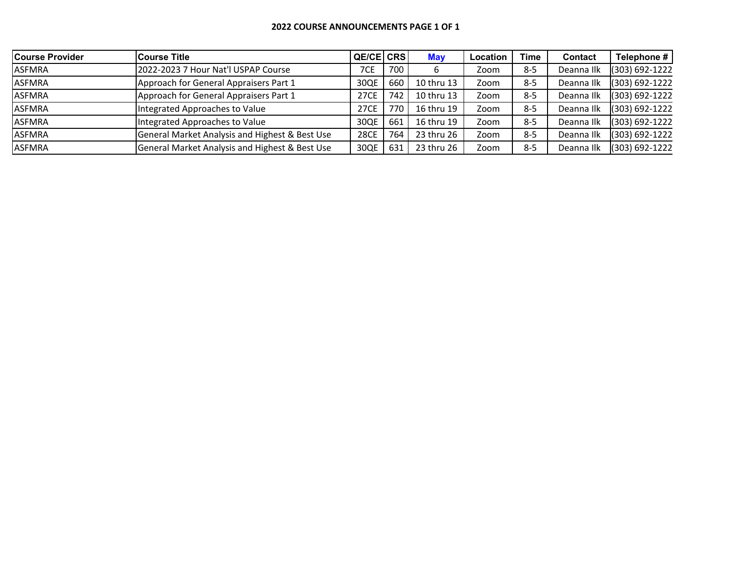## **2022 COURSE ANNOUNCEMENTS PAGE 1 OF 1**

| Course Provider | <b>Course Title</b>                                       | QE/CE CRS   |     | <b>May</b> | <b>Location</b> | <b>Time</b> | <b>Contact</b> | Telephone #    |
|-----------------|-----------------------------------------------------------|-------------|-----|------------|-----------------|-------------|----------------|----------------|
| <b>ASFMRA</b>   | 2022-2023 7 Hour Nat'l USPAP Course                       | 7CE         | 700 | ь          | Zoom            | 8-5         | Deanna Ilk     | (303) 692-1222 |
| <b>ASFMRA</b>   | Approach for General Appraisers Part 1                    | 30QE        | 660 | 10 thru 13 | Zoom            | $8-5$       | Deanna Ilk     | (303) 692-1222 |
| <b>ASFMRA</b>   | Approach for General Appraisers Part 1                    | 27CE        | 742 | 10 thru 13 | Zoom            | $8 - 5$     | Deanna Ilk     | (303) 692-1222 |
| <b>ASFMRA</b>   | Integrated Approaches to Value                            | 27CE        | 770 | 16 thru 19 | Zoom            | $8 - 5$     | Deanna Ilk     | (303) 692-1222 |
| <b>ASFMRA</b>   | Integrated Approaches to Value                            | 30QE        | 661 | 16 thru 19 | Zoom            | $8 - 5$     | Deanna Ilk     | (303) 692-1222 |
| <b>ASFMRA</b>   | <b>General Market Analysis and Highest &amp; Best Use</b> | <b>28CE</b> | 764 | 23 thru 26 | Zoom            | 8-5         | Deanna Ilk     | (303) 692-1222 |
| <b>ASFMRA</b>   | General Market Analysis and Highest & Best Use            | 30QE        | 631 | 23 thru 26 | Zoom            | $8-5$       | Deanna Ilk     | (303) 692-1222 |